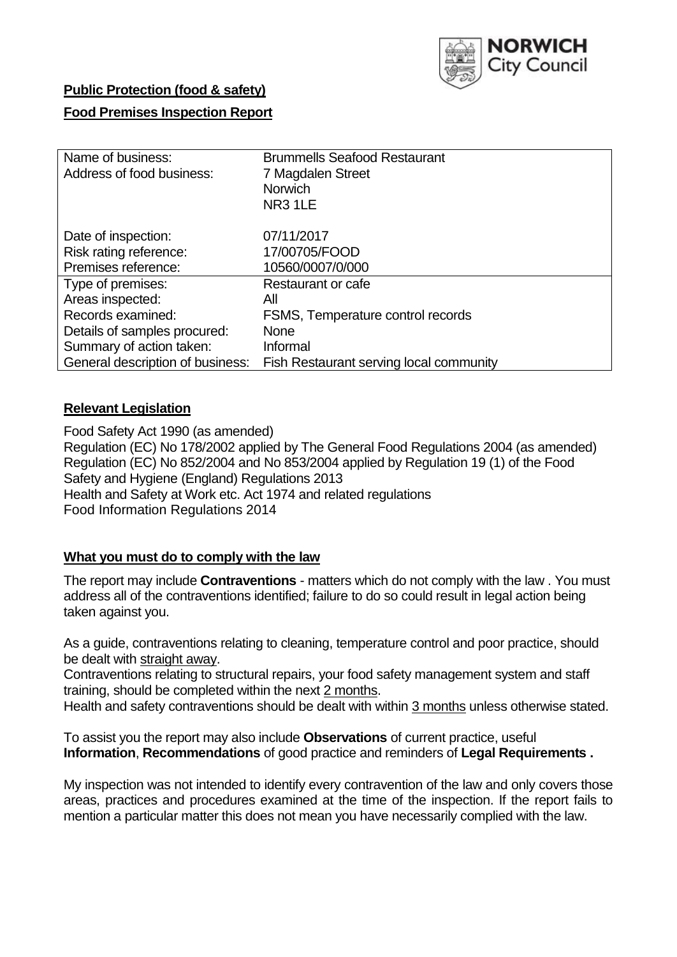

### **Public Protection (food & safety)**

### **Food Premises Inspection Report**

| Name of business:<br>Address of food business: | <b>Brummells Seafood Restaurant</b><br>7 Magdalen Street<br><b>Norwich</b><br>NR <sub>3</sub> 1LE |
|------------------------------------------------|---------------------------------------------------------------------------------------------------|
| Date of inspection:                            | 07/11/2017                                                                                        |
| Risk rating reference:                         | 17/00705/FOOD                                                                                     |
| Premises reference:                            | 10560/0007/0/000                                                                                  |
| Type of premises:                              | Restaurant or cafe                                                                                |
| Areas inspected:                               | All                                                                                               |
| Records examined:                              | FSMS, Temperature control records                                                                 |
| Details of samples procured:                   | <b>None</b>                                                                                       |
| Summary of action taken:                       | Informal                                                                                          |
| General description of business:               | Fish Restaurant serving local community                                                           |

#### **Relevant Legislation**

Food Safety Act 1990 (as amended) Regulation (EC) No 178/2002 applied by The General Food Regulations 2004 (as amended) Regulation (EC) No 852/2004 and No 853/2004 applied by Regulation 19 (1) of the Food Safety and Hygiene (England) Regulations 2013 Health and Safety at Work etc. Act 1974 and related regulations Food Information Regulations 2014

### **What you must do to comply with the law**

The report may include **Contraventions** - matters which do not comply with the law . You must address all of the contraventions identified; failure to do so could result in legal action being taken against you.

As a guide, contraventions relating to cleaning, temperature control and poor practice, should be dealt with straight away.

Contraventions relating to structural repairs, your food safety management system and staff training, should be completed within the next 2 months.

Health and safety contraventions should be dealt with within 3 months unless otherwise stated.

To assist you the report may also include **Observations** of current practice, useful **Information**, **Recommendations** of good practice and reminders of **Legal Requirements .**

My inspection was not intended to identify every contravention of the law and only covers those areas, practices and procedures examined at the time of the inspection. If the report fails to mention a particular matter this does not mean you have necessarily complied with the law.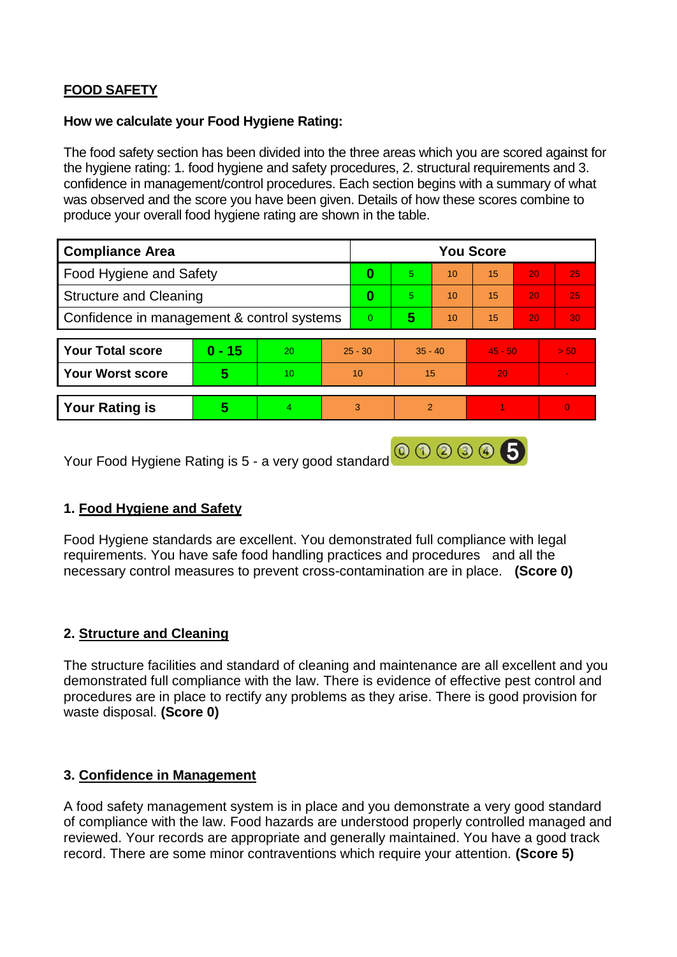# **FOOD SAFETY**

#### **How we calculate your Food Hygiene Rating:**

The food safety section has been divided into the three areas which you are scored against for the hygiene rating: 1. food hygiene and safety procedures, 2. structural requirements and 3. confidence in management/control procedures. Each section begins with a summary of what was observed and the score you have been given. Details of how these scores combine to produce your overall food hygiene rating are shown in the table.

| <b>Compliance Area</b>                     |          |    |           | <b>You Score</b> |                |    |           |    |          |  |  |
|--------------------------------------------|----------|----|-----------|------------------|----------------|----|-----------|----|----------|--|--|
| Food Hygiene and Safety                    |          |    |           | 0                | 5              | 10 | 15        | 20 | 25       |  |  |
| <b>Structure and Cleaning</b>              |          |    |           | $\bf{0}$         | 5              | 10 | 15        | 20 | 25       |  |  |
| Confidence in management & control systems |          |    |           | $\overline{0}$   | 5              | 10 | 15        | 20 | 30       |  |  |
|                                            |          |    |           |                  |                |    |           |    |          |  |  |
| <b>Your Total score</b>                    | $0 - 15$ | 20 | $25 - 30$ |                  | $35 - 40$      |    | $45 - 50$ |    | > 50     |  |  |
| <b>Your Worst score</b>                    | 5        | 10 | 10        |                  | 15             |    | 20        |    | ÷.       |  |  |
|                                            |          |    |           |                  |                |    |           |    |          |  |  |
| <b>Your Rating is</b>                      | 5        | 4  | 3         |                  | $\overline{2}$ |    |           |    | $\Omega$ |  |  |
|                                            |          |    |           |                  |                |    |           |    |          |  |  |

Your Food Hygiene Rating is 5 - a very good standard **@ 3 3 4 5** 

# **1. Food Hygiene and Safety**

Food Hygiene standards are excellent. You demonstrated full compliance with legal requirements. You have safe food handling practices and procedures and all the necessary control measures to prevent cross-contamination are in place. **(Score 0)**

# **2. Structure and Cleaning**

The structure facilities and standard of cleaning and maintenance are all excellent and you demonstrated full compliance with the law. There is evidence of effective pest control and procedures are in place to rectify any problems as they arise. There is good provision for waste disposal. **(Score 0)**

#### **3. Confidence in Management**

A food safety management system is in place and you demonstrate a very good standard of compliance with the law. Food hazards are understood properly controlled managed and reviewed. Your records are appropriate and generally maintained. You have a good track record. There are some minor contraventions which require your attention. **(Score 5)**